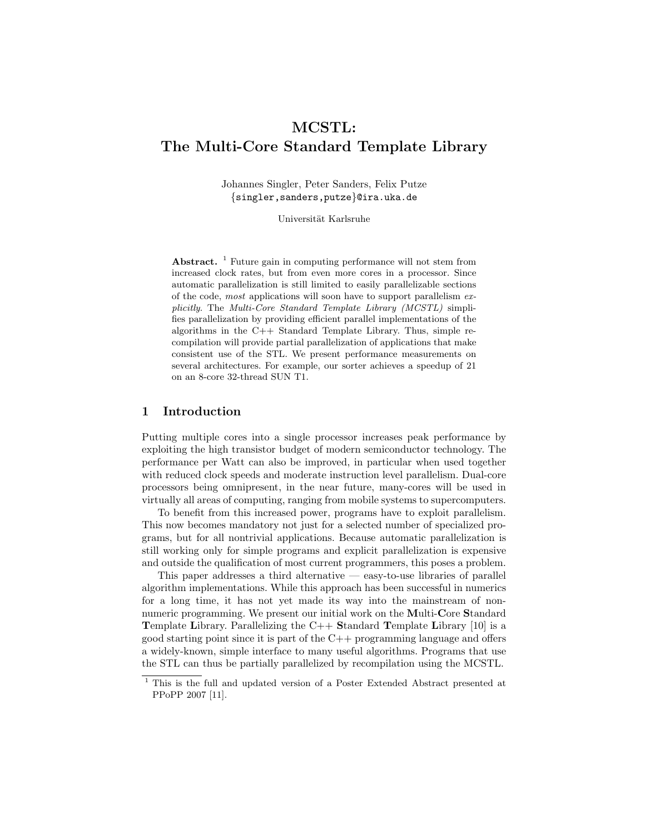# MCSTL: The Multi-Core Standard Template Library

Johannes Singler, Peter Sanders, Felix Putze {singler,sanders,putze}@ira.uka.de

Universität Karlsruhe

Abstract.  $\frac{1}{1}$  Future gain in computing performance will not stem from increased clock rates, but from even more cores in a processor. Since automatic parallelization is still limited to easily parallelizable sections of the code, most applications will soon have to support parallelism explicitly. The Multi-Core Standard Template Library (MCSTL) simplifies parallelization by providing efficient parallel implementations of the algorithms in the C++ Standard Template Library. Thus, simple recompilation will provide partial parallelization of applications that make consistent use of the STL. We present performance measurements on several architectures. For example, our sorter achieves a speedup of 21 on an 8-core 32-thread SUN T1.

#### 1 Introduction

Putting multiple cores into a single processor increases peak performance by exploiting the high transistor budget of modern semiconductor technology. The performance per Watt can also be improved, in particular when used together with reduced clock speeds and moderate instruction level parallelism. Dual-core processors being omnipresent, in the near future, many-cores will be used in virtually all areas of computing, ranging from mobile systems to supercomputers.

To benefit from this increased power, programs have to exploit parallelism. This now becomes mandatory not just for a selected number of specialized programs, but for all nontrivial applications. Because automatic parallelization is still working only for simple programs and explicit parallelization is expensive and outside the qualification of most current programmers, this poses a problem.

This paper addresses a third alternative  $-$  easy-to-use libraries of parallel algorithm implementations. While this approach has been successful in numerics for a long time, it has not yet made its way into the mainstream of nonnumeric programming. We present our initial work on the Multi-Core Standard Template Library. Parallelizing the  $C++$  Standard Template Library [10] is a good starting point since it is part of the  $C_{++}$  programming language and offers a widely-known, simple interface to many useful algorithms. Programs that use the STL can thus be partially parallelized by recompilation using the MCSTL.

<sup>1</sup> This is the full and updated version of a Poster Extended Abstract presented at PPoPP 2007 [11].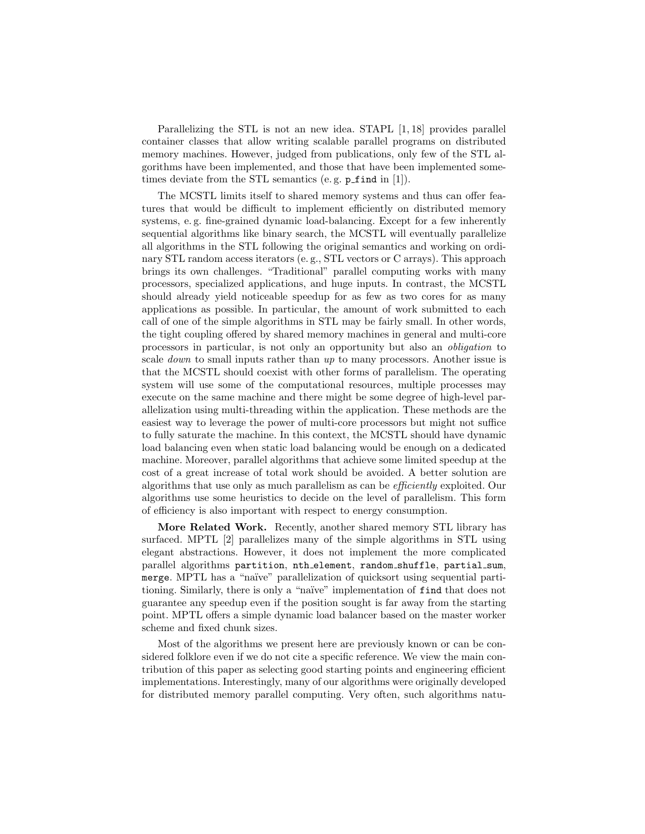Parallelizing the STL is not an new idea. STAPL [1, 18] provides parallel container classes that allow writing scalable parallel programs on distributed memory machines. However, judged from publications, only few of the STL algorithms have been implemented, and those that have been implemented sometimes deviate from the STL semantics (e.g.  $p\_find$  in [1]).

The MCSTL limits itself to shared memory systems and thus can offer features that would be difficult to implement efficiently on distributed memory systems, e. g. fine-grained dynamic load-balancing. Except for a few inherently sequential algorithms like binary search, the MCSTL will eventually parallelize all algorithms in the STL following the original semantics and working on ordinary STL random access iterators (e. g., STL vectors or C arrays). This approach brings its own challenges. "Traditional" parallel computing works with many processors, specialized applications, and huge inputs. In contrast, the MCSTL should already yield noticeable speedup for as few as two cores for as many applications as possible. In particular, the amount of work submitted to each call of one of the simple algorithms in STL may be fairly small. In other words, the tight coupling offered by shared memory machines in general and multi-core processors in particular, is not only an opportunity but also an obligation to scale *down* to small inputs rather than up to many processors. Another issue is that the MCSTL should coexist with other forms of parallelism. The operating system will use some of the computational resources, multiple processes may execute on the same machine and there might be some degree of high-level parallelization using multi-threading within the application. These methods are the easiest way to leverage the power of multi-core processors but might not suffice to fully saturate the machine. In this context, the MCSTL should have dynamic load balancing even when static load balancing would be enough on a dedicated machine. Moreover, parallel algorithms that achieve some limited speedup at the cost of a great increase of total work should be avoided. A better solution are algorithms that use only as much parallelism as can be efficiently exploited. Our algorithms use some heuristics to decide on the level of parallelism. This form of efficiency is also important with respect to energy consumption.

More Related Work. Recently, another shared memory STL library has surfaced. MPTL [2] parallelizes many of the simple algorithms in STL using elegant abstractions. However, it does not implement the more complicated parallel algorithms partition, nth element, random shuffle, partial sum, merge. MPTL has a "naïve" parallelization of quicksort using sequential partitioning. Similarly, there is only a "naïve" implementation of find that does not guarantee any speedup even if the position sought is far away from the starting point. MPTL offers a simple dynamic load balancer based on the master worker scheme and fixed chunk sizes.

Most of the algorithms we present here are previously known or can be considered folklore even if we do not cite a specific reference. We view the main contribution of this paper as selecting good starting points and engineering efficient implementations. Interestingly, many of our algorithms were originally developed for distributed memory parallel computing. Very often, such algorithms natu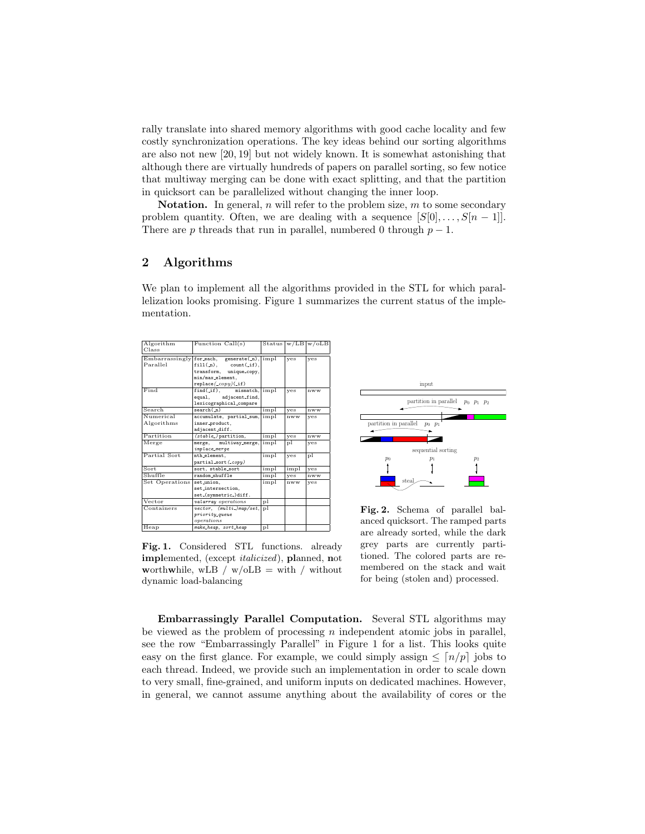rally translate into shared memory algorithms with good cache locality and few costly synchronization operations. The key ideas behind our sorting algorithms are also not new [20, 19] but not widely known. It is somewhat astonishing that although there are virtually hundreds of papers on parallel sorting, so few notice that multiway merging can be done with exact splitting, and that the partition in quicksort can be parallelized without changing the inner loop.

**Notation.** In general, n will refer to the problem size, m to some secondary problem quantity. Often, we are dealing with a sequence  $[S[0], \ldots, S[n-1]]$ . There are p threads that run in parallel, numbered 0 through  $p-1$ .

## 2 Algorithms

We plan to implement all the algorithms provided in the STL for which parallelization looks promising. Figure 1 summarizes the current status of the implementation.

| Algorithm<br>Class         | Function Call(s)                                                                                                                     | Status          |      | $w/LB$ $w/oLB$ |
|----------------------------|--------------------------------------------------------------------------------------------------------------------------------------|-----------------|------|----------------|
| Embarrassingly<br>Parallel | for_each, generate(_n), impl<br>fill(n),<br>count(i.f),<br>unique_copy,<br>transform,<br>min/max_element,<br>$replace(\_copy)(\_if)$ |                 | yes  | yes            |
| $\overline{\mathrm{Find}}$ | find(.if), mismatch. impl<br>equal, adjacent_find,<br>lexicographical_compare                                                        |                 | ves  | nww            |
| Search                     | search(n)                                                                                                                            | impl            | yes  | nww            |
| Numerical                  | accumulate, partial.sum,                                                                                                             | impl            | nww  | yes            |
| Algorithms                 | inner_product,<br>adjacent.diff.                                                                                                     |                 |      |                |
| Partition                  | $(stable.)$ partition,                                                                                                               | impl            | yes  | nww            |
| Merge                      | merge, multiway_merge,<br>inplace_merge                                                                                              | impl            | pl   | yes            |
| Partial Sort               | nth_element,<br>partial_sort(_copy)                                                                                                  | impl            | yes  | p1             |
| Sort                       | sort, stable_sort                                                                                                                    | impl            | impl | yes            |
| Shuffle                    | random_shuffle                                                                                                                       | impl            | yes  | nww            |
| Set Operations             | set_union,<br>set_intersection.<br>set_(symmetric_)diff.                                                                             | impl            | nww  | ves            |
| Vector                     | <i>valarray</i> operations                                                                                                           | $\overline{p1}$ |      |                |
| Containers                 | vector, (multi_)map/set,<br>$priority_queue$<br>operations                                                                           | p1              |      |                |
| Heap                       | make_heap, sort_heap                                                                                                                 | pĪ              |      |                |

Fig. 1. Considered STL functions. already implemented, (except italicized), planned, not worthwhile, wLB /  $w/\text{oLB} = \text{with}$  / without dynamic load-balancing



Fig. 2. Schema of parallel balanced quicksort. The ramped parts are already sorted, while the dark grey parts are currently partitioned. The colored parts are remembered on the stack and wait for being (stolen and) processed.

Embarrassingly Parallel Computation. Several STL algorithms may be viewed as the problem of processing  $n$  independent atomic jobs in parallel, see the row "Embarrassingly Parallel" in Figure 1 for a list. This looks quite easy on the first glance. For example, we could simply assign  $\leq \lfloor n/p \rfloor$  jobs to each thread. Indeed, we provide such an implementation in order to scale down to very small, fine-grained, and uniform inputs on dedicated machines. However, in general, we cannot assume anything about the availability of cores or the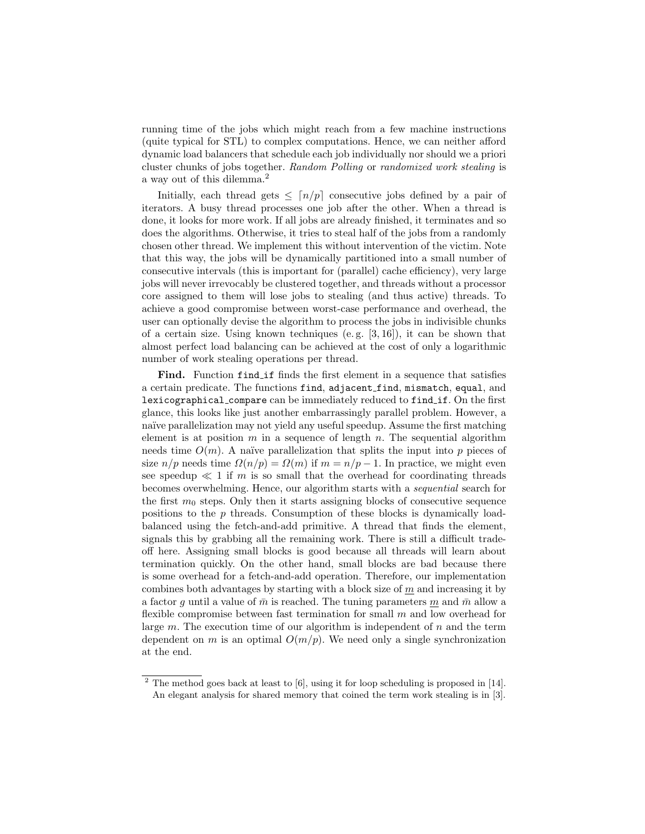running time of the jobs which might reach from a few machine instructions (quite typical for STL) to complex computations. Hence, we can neither afford dynamic load balancers that schedule each job individually nor should we a priori cluster chunks of jobs together. Random Polling or randomized work stealing is a way out of this dilemma.<sup>2</sup>

Initially, each thread gets  $\leq \lfloor n/p \rfloor$  consecutive jobs defined by a pair of iterators. A busy thread processes one job after the other. When a thread is done, it looks for more work. If all jobs are already finished, it terminates and so does the algorithms. Otherwise, it tries to steal half of the jobs from a randomly chosen other thread. We implement this without intervention of the victim. Note that this way, the jobs will be dynamically partitioned into a small number of consecutive intervals (this is important for (parallel) cache efficiency), very large jobs will never irrevocably be clustered together, and threads without a processor core assigned to them will lose jobs to stealing (and thus active) threads. To achieve a good compromise between worst-case performance and overhead, the user can optionally devise the algorithm to process the jobs in indivisible chunks of a certain size. Using known techniques (e. g. [3, 16]), it can be shown that almost perfect load balancing can be achieved at the cost of only a logarithmic number of work stealing operations per thread.

Find. Function find if finds the first element in a sequence that satisfies a certain predicate. The functions find, adjacent find, mismatch, equal, and lexicographical compare can be immediately reduced to find if. On the first glance, this looks like just another embarrassingly parallel problem. However, a naïve parallelization may not yield any useful speedup. Assume the first matching element is at position  $m$  in a sequence of length  $n$ . The sequential algorithm needs time  $O(m)$ . A naïve parallelization that splits the input into p pieces of size  $n/p$  needs time  $\Omega(n/p) = \Omega(m)$  if  $m = n/p - 1$ . In practice, we might even see speedup  $\ll 1$  if m is so small that the overhead for coordinating threads becomes overwhelming. Hence, our algorithm starts with a sequential search for the first  $m_0$  steps. Only then it starts assigning blocks of consecutive sequence positions to the  $p$  threads. Consumption of these blocks is dynamically loadbalanced using the fetch-and-add primitive. A thread that finds the element, signals this by grabbing all the remaining work. There is still a difficult tradeoff here. Assigning small blocks is good because all threads will learn about termination quickly. On the other hand, small blocks are bad because there is some overhead for a fetch-and-add operation. Therefore, our implementation combines both advantages by starting with a block size of  $m$  and increasing it by a factor g until a value of  $\bar{m}$  is reached. The tuning parameters  $\bar{m}$  and  $\bar{m}$  allow a flexible compromise between fast termination for small  $m$  and low overhead for large  $m$ . The execution time of our algorithm is independent of  $n$  and the term dependent on m is an optimal  $O(m/p)$ . We need only a single synchronization at the end.

 $2$  The method goes back at least to [6], using it for loop scheduling is proposed in [14]. An elegant analysis for shared memory that coined the term work stealing is in [3].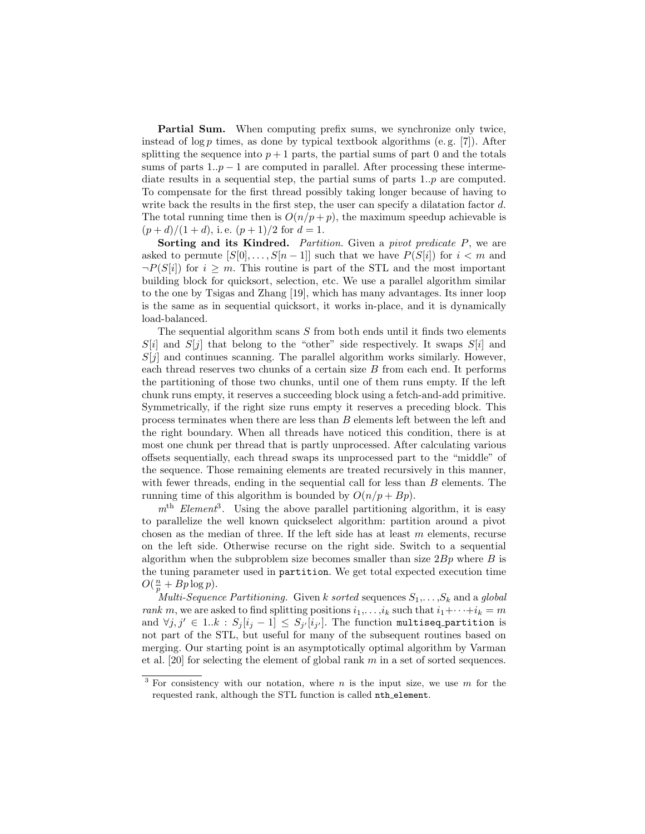Partial Sum. When computing prefix sums, we synchronize only twice, instead of  $\log p$  times, as done by typical textbook algorithms (e.g. [7]). After splitting the sequence into  $p + 1$  parts, the partial sums of part 0 and the totals sums of parts  $1 \nvert p - 1$  are computed in parallel. After processing these intermediate results in a sequential step, the partial sums of parts 1..p are computed. To compensate for the first thread possibly taking longer because of having to write back the results in the first step, the user can specify a dilatation factor d. The total running time then is  $O(n/p+p)$ , the maximum speedup achievable is  $(p+d)/(1+d)$ , i.e.  $(p+1)/2$  for  $d=1$ .

Sorting and its Kindred. Partition. Given a pivot predicate P, we are asked to permute  $[S[0], \ldots, S[n-1]]$  such that we have  $P(S[i])$  for  $i < m$  and  $\neg P(S[i])$  for  $i > m$ . This routine is part of the STL and the most important building block for quicksort, selection, etc. We use a parallel algorithm similar to the one by Tsigas and Zhang [19], which has many advantages. Its inner loop is the same as in sequential quicksort, it works in-place, and it is dynamically load-balanced.

The sequential algorithm scans S from both ends until it finds two elements  $S[i]$  and  $S[j]$  that belong to the "other" side respectively. It swaps  $S[i]$  and  $S[j]$  and continues scanning. The parallel algorithm works similarly. However, each thread reserves two chunks of a certain size  $B$  from each end. It performs the partitioning of those two chunks, until one of them runs empty. If the left chunk runs empty, it reserves a succeeding block using a fetch-and-add primitive. Symmetrically, if the right size runs empty it reserves a preceding block. This process terminates when there are less than B elements left between the left and the right boundary. When all threads have noticed this condition, there is at most one chunk per thread that is partly unprocessed. After calculating various offsets sequentially, each thread swaps its unprocessed part to the "middle" of the sequence. Those remaining elements are treated recursively in this manner, with fewer threads, ending in the sequential call for less than  $B$  elements. The running time of this algorithm is bounded by  $O(n/p + Bp)$ .

 $m<sup>th</sup> Element<sup>3</sup>$ . Using the above parallel partitioning algorithm, it is easy to parallelize the well known quickselect algorithm: partition around a pivot chosen as the median of three. If the left side has at least  $m$  elements, recurse on the left side. Otherwise recurse on the right side. Switch to a sequential algorithm when the subproblem size becomes smaller than size  $2Bp$  where B is the tuning parameter used in partition. We get total expected execution time  $O(\frac{n}{p} + Bp \log p).$ 

Multi-Sequence Partitioning. Given k sorted sequences  $S_1, \ldots, S_k$  and a global rank m, we are asked to find splitting positions  $i_1, \ldots, i_k$  such that  $i_1 + \cdots + i_k = m$ and  $\forall j, j' \in 1..k : S_j[i_j - 1] \leq S_{j'}[i_{j'}].$  The function multiseq\_partition is not part of the STL, but useful for many of the subsequent routines based on merging. Our starting point is an asymptotically optimal algorithm by Varman et al. [20] for selecting the element of global rank  $m$  in a set of sorted sequences.

<sup>&</sup>lt;sup>3</sup> For consistency with our notation, where *n* is the input size, we use *m* for the requested rank, although the STL function is called nth element.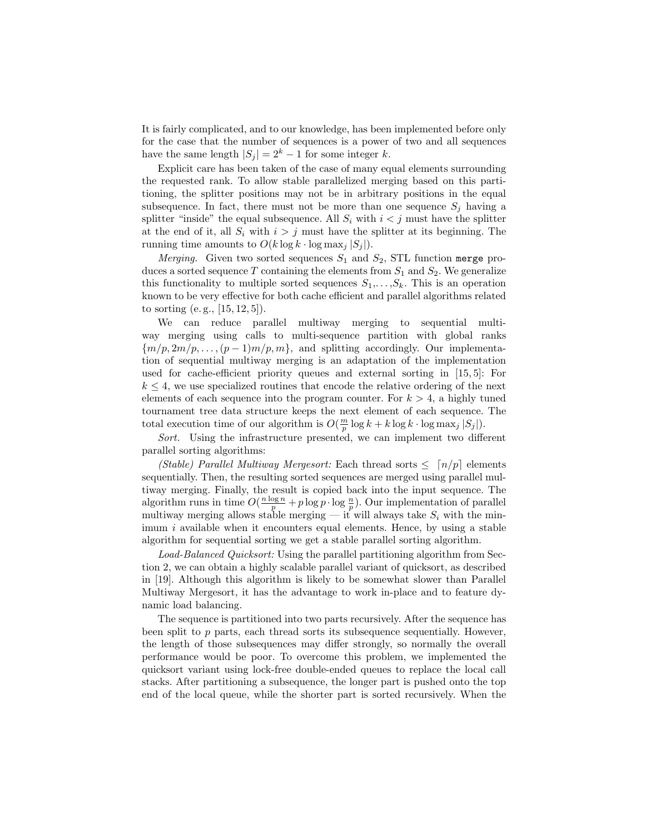It is fairly complicated, and to our knowledge, has been implemented before only for the case that the number of sequences is a power of two and all sequences have the same length  $|S_i| = 2^k - 1$  for some integer k.

Explicit care has been taken of the case of many equal elements surrounding the requested rank. To allow stable parallelized merging based on this partitioning, the splitter positions may not be in arbitrary positions in the equal subsequence. In fact, there must not be more than one sequence  $S_i$  having a splitter "inside" the equal subsequence. All  $S_i$  with  $i < j$  must have the splitter at the end of it, all  $S_i$  with  $i > j$  must have the splitter at its beginning. The running time amounts to  $O(k \log k \cdot \log \max_i |S_i|)$ .

*Merging.* Given two sorted sequences  $S_1$  and  $S_2$ , STL function merge produces a sorted sequence  $T$  containing the elements from  $S_1$  and  $S_2$ . We generalize this functionality to multiple sorted sequences  $S_1, \ldots, S_k$ . This is an operation known to be very effective for both cache efficient and parallel algorithms related to sorting  $(e, g., [15, 12, 5]).$ 

We can reduce parallel multiway merging to sequential multiway merging using calls to multi-sequence partition with global ranks  $\{m/p, 2m/p, \ldots, (p-1)m/p, m\}$ , and splitting accordingly. Our implementation of sequential multiway merging is an adaptation of the implementation used for cache-efficient priority queues and external sorting in [15, 5]: For  $k \leq 4$ , we use specialized routines that encode the relative ordering of the next elements of each sequence into the program counter. For  $k > 4$ , a highly tuned tournament tree data structure keeps the next element of each sequence. The total execution time of our algorithm is  $O(\frac{m}{p} \log k + k \log k \cdot \log \max_j |S_j|).$ 

Sort. Using the infrastructure presented, we can implement two different parallel sorting algorithms:

(Stable) Parallel Multiway Mergesort: Each thread sorts  $\leq \lceil n/p \rceil$  elements sequentially. Then, the resulting sorted sequences are merged using parallel multiway merging. Finally, the result is copied back into the input sequence. The algorithm runs in time  $O(\frac{n \log n}{p} + p \log p \cdot \log \frac{n}{p})$ . Our implementation of parallel multiway merging allows stable merging — it will always take  $S_i$  with the minimum  $i$  available when it encounters equal elements. Hence, by using a stable algorithm for sequential sorting we get a stable parallel sorting algorithm.

Load-Balanced Quicksort: Using the parallel partitioning algorithm from Section 2, we can obtain a highly scalable parallel variant of quicksort, as described in [19]. Although this algorithm is likely to be somewhat slower than Parallel Multiway Mergesort, it has the advantage to work in-place and to feature dynamic load balancing.

The sequence is partitioned into two parts recursively. After the sequence has been split to  $p$  parts, each thread sorts its subsequence sequentially. However, the length of those subsequences may differ strongly, so normally the overall performance would be poor. To overcome this problem, we implemented the quicksort variant using lock-free double-ended queues to replace the local call stacks. After partitioning a subsequence, the longer part is pushed onto the top end of the local queue, while the shorter part is sorted recursively. When the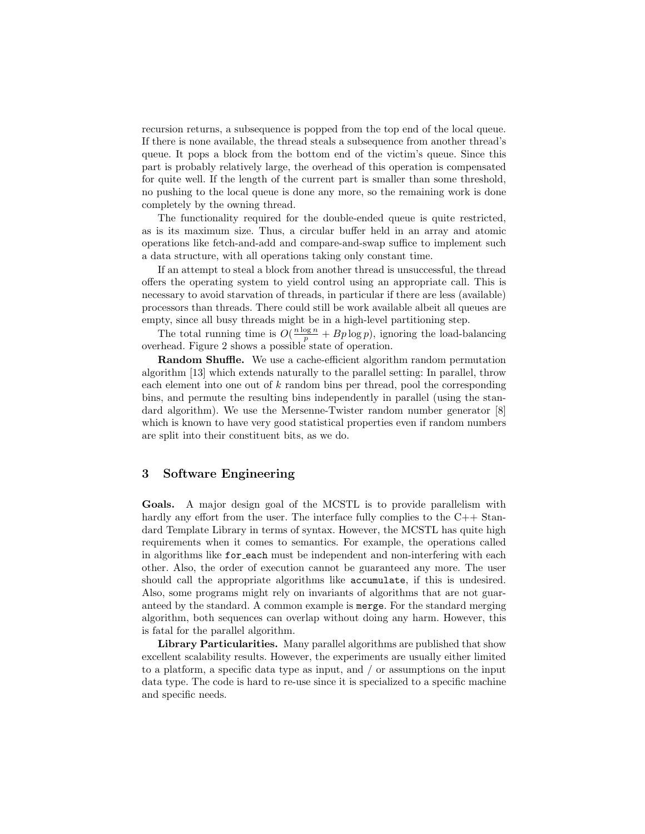recursion returns, a subsequence is popped from the top end of the local queue. If there is none available, the thread steals a subsequence from another thread's queue. It pops a block from the bottom end of the victim's queue. Since this part is probably relatively large, the overhead of this operation is compensated for quite well. If the length of the current part is smaller than some threshold, no pushing to the local queue is done any more, so the remaining work is done completely by the owning thread.

The functionality required for the double-ended queue is quite restricted, as is its maximum size. Thus, a circular buffer held in an array and atomic operations like fetch-and-add and compare-and-swap suffice to implement such a data structure, with all operations taking only constant time.

If an attempt to steal a block from another thread is unsuccessful, the thread offers the operating system to yield control using an appropriate call. This is necessary to avoid starvation of threads, in particular if there are less (available) processors than threads. There could still be work available albeit all queues are empty, since all busy threads might be in a high-level partitioning step.

The total running time is  $O(\frac{n \log n}{p} + Bp \log p)$ , ignoring the load-balancing overhead. Figure 2 shows a possible state of operation.

Random Shuffle. We use a cache-efficient algorithm random permutation algorithm [13] which extends naturally to the parallel setting: In parallel, throw each element into one out of k random bins per thread, pool the corresponding bins, and permute the resulting bins independently in parallel (using the standard algorithm). We use the Mersenne-Twister random number generator [8] which is known to have very good statistical properties even if random numbers are split into their constituent bits, as we do.

## 3 Software Engineering

Goals. A major design goal of the MCSTL is to provide parallelism with hardly any effort from the user. The interface fully complies to the  $C_{++}$  Standard Template Library in terms of syntax. However, the MCSTL has quite high requirements when it comes to semantics. For example, the operations called in algorithms like for each must be independent and non-interfering with each other. Also, the order of execution cannot be guaranteed any more. The user should call the appropriate algorithms like accumulate, if this is undesired. Also, some programs might rely on invariants of algorithms that are not guaranteed by the standard. A common example is merge. For the standard merging algorithm, both sequences can overlap without doing any harm. However, this is fatal for the parallel algorithm.

Library Particularities. Many parallel algorithms are published that show excellent scalability results. However, the experiments are usually either limited to a platform, a specific data type as input, and / or assumptions on the input data type. The code is hard to re-use since it is specialized to a specific machine and specific needs.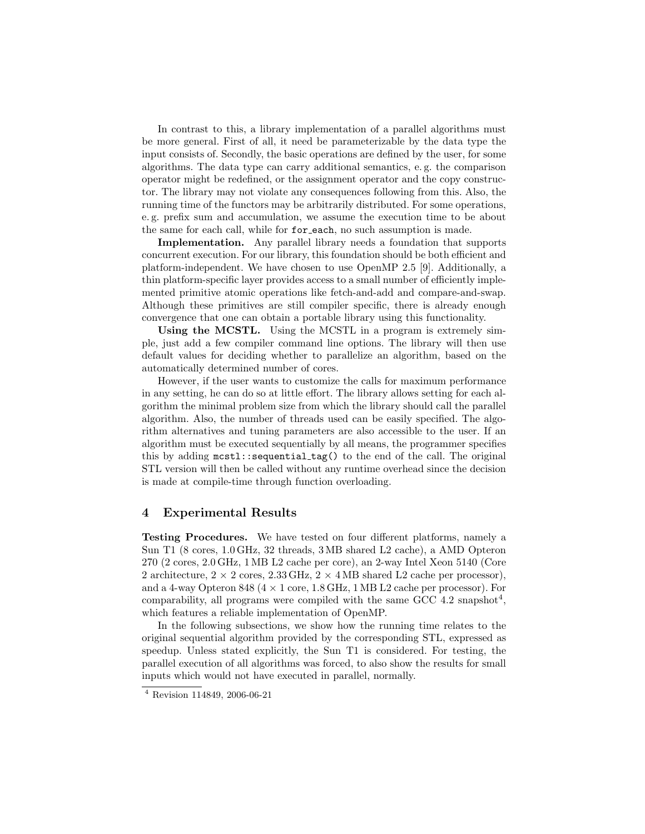In contrast to this, a library implementation of a parallel algorithms must be more general. First of all, it need be parameterizable by the data type the input consists of. Secondly, the basic operations are defined by the user, for some algorithms. The data type can carry additional semantics, e. g. the comparison operator might be redefined, or the assignment operator and the copy constructor. The library may not violate any consequences following from this. Also, the running time of the functors may be arbitrarily distributed. For some operations, e. g. prefix sum and accumulation, we assume the execution time to be about the same for each call, while for for each, no such assumption is made.

Implementation. Any parallel library needs a foundation that supports concurrent execution. For our library, this foundation should be both efficient and platform-independent. We have chosen to use OpenMP 2.5 [9]. Additionally, a thin platform-specific layer provides access to a small number of efficiently implemented primitive atomic operations like fetch-and-add and compare-and-swap. Although these primitives are still compiler specific, there is already enough convergence that one can obtain a portable library using this functionality.

Using the MCSTL. Using the MCSTL in a program is extremely simple, just add a few compiler command line options. The library will then use default values for deciding whether to parallelize an algorithm, based on the automatically determined number of cores.

However, if the user wants to customize the calls for maximum performance in any setting, he can do so at little effort. The library allows setting for each algorithm the minimal problem size from which the library should call the parallel algorithm. Also, the number of threads used can be easily specified. The algorithm alternatives and tuning parameters are also accessible to the user. If an algorithm must be executed sequentially by all means, the programmer specifies this by adding  $mest1::sequential\_tag()$  to the end of the call. The original STL version will then be called without any runtime overhead since the decision is made at compile-time through function overloading.

## 4 Experimental Results

Testing Procedures. We have tested on four different platforms, namely a Sun T1 (8 cores, 1.0 GHz, 32 threads, 3 MB shared L2 cache), a AMD Opteron 270 (2 cores, 2.0 GHz, 1 MB L2 cache per core), an 2-way Intel Xeon 5140 (Core 2 architecture,  $2 \times 2$  cores,  $2.33 \text{ GHz}$ ,  $2 \times 4 \text{ MB}$  shared L2 cache per processor), and a 4-way Opteron 848 ( $4 \times 1$  core, 1.8 GHz, 1 MB L2 cache per processor). For comparability, all programs were compiled with the same GCC 4.2 snapshot<sup>4</sup>, which features a reliable implementation of OpenMP.

In the following subsections, we show how the running time relates to the original sequential algorithm provided by the corresponding STL, expressed as speedup. Unless stated explicitly, the Sun T1 is considered. For testing, the parallel execution of all algorithms was forced, to also show the results for small inputs which would not have executed in parallel, normally.

<sup>4</sup> Revision 114849, 2006-06-21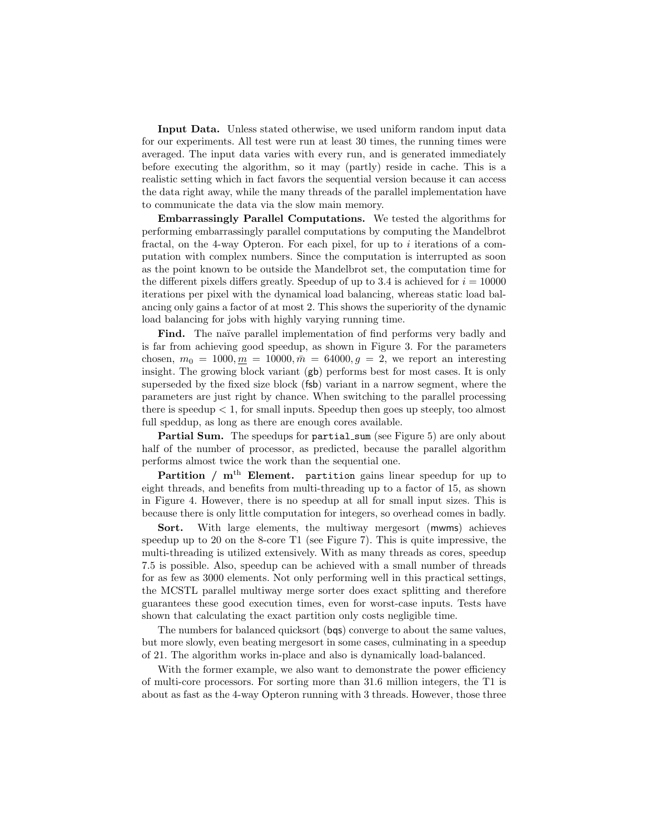Input Data. Unless stated otherwise, we used uniform random input data for our experiments. All test were run at least 30 times, the running times were averaged. The input data varies with every run, and is generated immediately before executing the algorithm, so it may (partly) reside in cache. This is a realistic setting which in fact favors the sequential version because it can access the data right away, while the many threads of the parallel implementation have to communicate the data via the slow main memory.

Embarrassingly Parallel Computations. We tested the algorithms for performing embarrassingly parallel computations by computing the Mandelbrot fractal, on the 4-way Opteron. For each pixel, for up to i iterations of a computation with complex numbers. Since the computation is interrupted as soon as the point known to be outside the Mandelbrot set, the computation time for the different pixels differs greatly. Speedup of up to 3.4 is achieved for  $i = 10000$ iterations per pixel with the dynamical load balancing, whereas static load balancing only gains a factor of at most 2. This shows the superiority of the dynamic load balancing for jobs with highly varying running time.

Find. The naïve parallel implementation of find performs very badly and is far from achieving good speedup, as shown in Figure 3. For the parameters chosen,  $m_0 = 1000, \underline{m} = 10000, \bar{m} = 64000, g = 2$ , we report an interesting insight. The growing block variant (gb) performs best for most cases. It is only superseded by the fixed size block (fsb) variant in a narrow segment, where the parameters are just right by chance. When switching to the parallel processing there is speedup  $\lt 1$ , for small inputs. Speedup then goes up steeply, too almost full speddup, as long as there are enough cores available.

**Partial Sum.** The speedups for partial\_sum (see Figure 5) are only about half of the number of processor, as predicted, because the parallel algorithm performs almost twice the work than the sequential one.

Partition /  $m<sup>th</sup>$  Element. partition gains linear speedup for up to eight threads, and benefits from multi-threading up to a factor of 15, as shown in Figure 4. However, there is no speedup at all for small input sizes. This is because there is only little computation for integers, so overhead comes in badly.

Sort. With large elements, the multiway mergesort (mwms) achieves speedup up to 20 on the 8-core T1 (see Figure 7). This is quite impressive, the multi-threading is utilized extensively. With as many threads as cores, speedup 7.5 is possible. Also, speedup can be achieved with a small number of threads for as few as 3000 elements. Not only performing well in this practical settings, the MCSTL parallel multiway merge sorter does exact splitting and therefore guarantees these good execution times, even for worst-case inputs. Tests have shown that calculating the exact partition only costs negligible time.

The numbers for balanced quicksort (bqs) converge to about the same values, but more slowly, even beating mergesort in some cases, culminating in a speedup of 21. The algorithm works in-place and also is dynamically load-balanced.

With the former example, we also want to demonstrate the power efficiency of multi-core processors. For sorting more than 31.6 million integers, the T1 is about as fast as the 4-way Opteron running with 3 threads. However, those three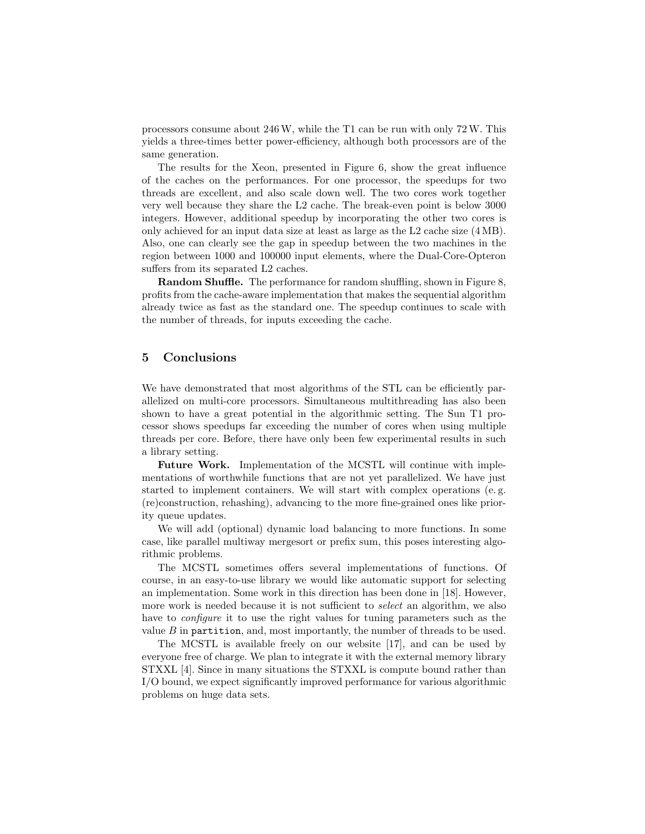processors consume about 246W, while the T1 can be run with only 72W. This yields a three-times better power-efficiency, although both processors are of the same generation.

The results for the Xeon, presented in Figure 6, show the great influence of the caches on the performances. For one processor, the speedups for two threads are excellent, and also scale down well. The two cores work together very well because they share the L2 cache. The break-even point is below 3000 integers. However, additional speedup by incorporating the other two cores is only achieved for an input data size at least as large as the L2 cache size (4 MB). Also, one can clearly see the gap in speedup between the two machines in the region between 1000 and 100000 input elements, where the Dual-Core-Opteron suffers from its separated L2 caches.

Random Shuffle. The performance for random shuffling, shown in Figure 8, profits from the cache-aware implementation that makes the sequential algorithm already twice as fast as the standard one. The speedup continues to scale with the number of threads, for inputs exceeding the cache.

#### 5 Conclusions

We have demonstrated that most algorithms of the STL can be efficiently parallelized on multi-core processors. Simultaneous multithreading has also been shown to have a great potential in the algorithmic setting. The Sun T1 processor shows speedups far exceeding the number of cores when using multiple threads per core. Before, there have only been few experimental results in such a library setting.

Future Work. Implementation of the MCSTL will continue with implementations of worthwhile functions that are not yet parallelized. We have just started to implement containers. We will start with complex operations (e. g. (re)construction, rehashing), advancing to the more fine-grained ones like priority queue updates.

We will add (optional) dynamic load balancing to more functions. In some case, like parallel multiway mergesort or prefix sum, this poses interesting algorithmic problems.

The MCSTL sometimes offers several implementations of functions. Of course, in an easy-to-use library we would like automatic support for selecting an implementation. Some work in this direction has been done in [18]. However, more work is needed because it is not sufficient to *select* an algorithm, we also have to *configure* it to use the right values for tuning parameters such as the value  $B$  in partition, and, most importantly, the number of threads to be used.

The MCSTL is available freely on our website [17], and can be used by everyone free of charge. We plan to integrate it with the external memory library STXXL [4]. Since in many situations the STXXL is compute bound rather than I/O bound, we expect significantly improved performance for various algorithmic problems on huge data sets.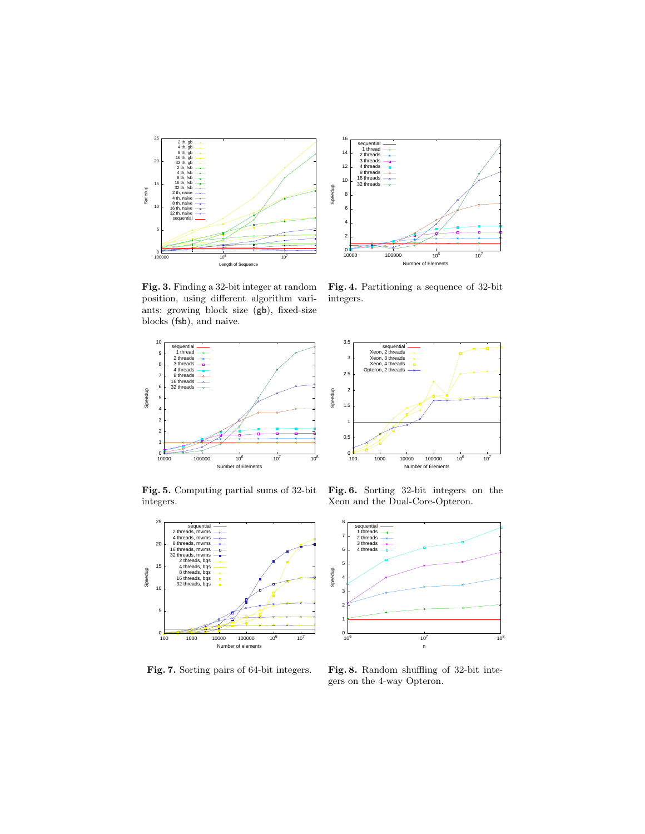

Fig. 3. Finding a 32-bit integer at random position, using different algorithm variants: growing block size (gb), fixed-size blocks (fsb), and naive.



Fig. 4. Partitioning a sequence of 32-bit integers.



Fig. 5. Computing partial sums of 32-bit integers.



Fig. 7. Sorting pairs of 64-bit integers.



Fig. 6. Sorting 32-bit integers on the Xeon and the Dual-Core-Opteron.



Fig. 8. Random shuffling of 32-bit integers on the 4-way Opteron.